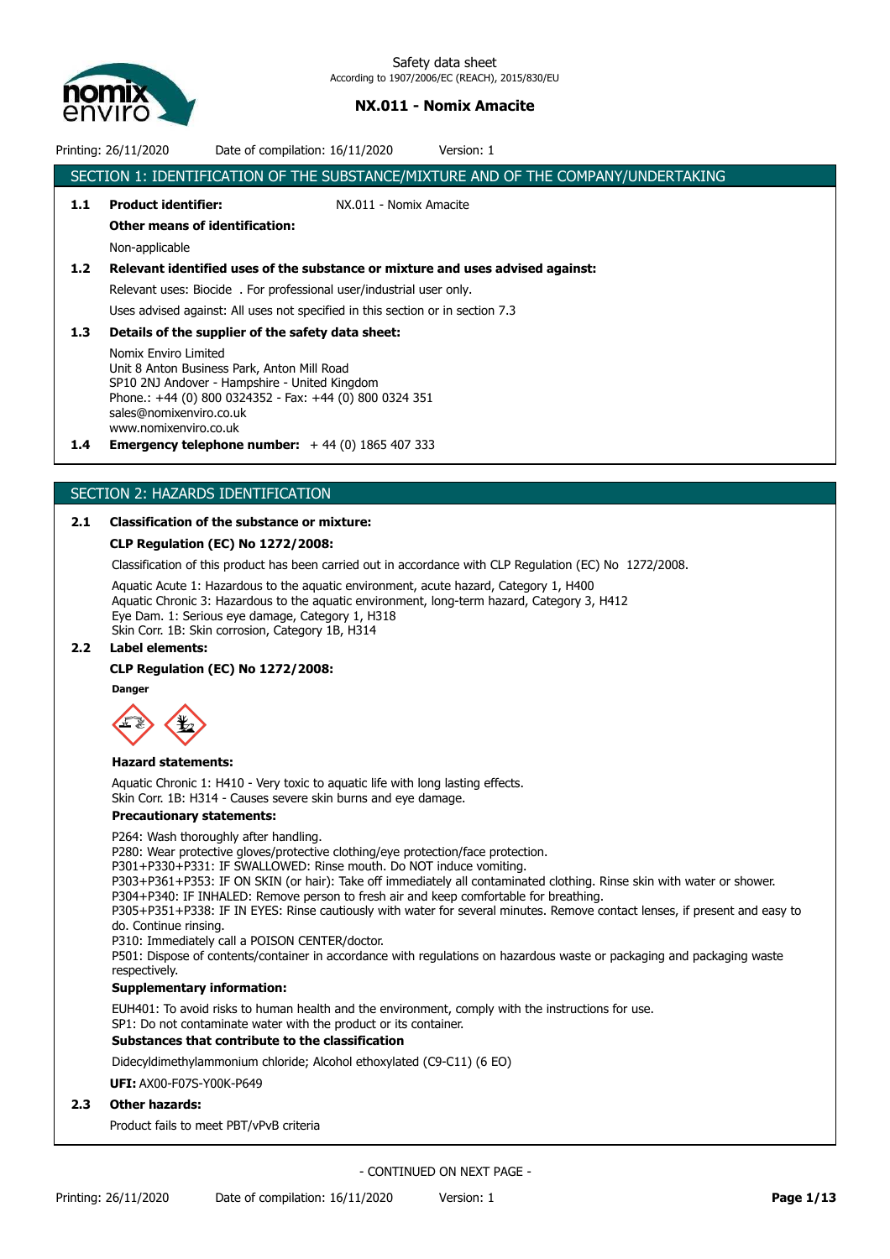

Printing: 26/11/2020 Date of compilation: 16/11/2020 Version: 1 SECTION 1: IDENTIFICATION OF THE SUBSTANCE/MIXTURE AND OF THE COMPANY/UNDERTAKING

**1.1 Product identifier:** NX.011 - Nomix Amacite **Other means of identification:** Non-applicable **1.2 Relevant identified uses of the substance or mixture and uses advised against:** Relevant uses: Biocide . For professional user/industrial user only. Uses advised against: All uses not specified in this section or in section 7.3 **1.3 Details of the supplier of the safety data sheet:** Nomix Enviro Limited Unit 8 Anton Business Park, Anton Mill Road SP10 2NJ Andover - Hampshire - United Kingdom Phone.: +44 (0) 800 0324352 - Fax: +44 (0) 800 0324 351 sales@nomixenviro.co.uk www.nomixenviro.co.uk **1.4 Emergency telephone number:** + 44 (0) 1865 407 333

# SECTION 2: HAZARDS IDENTIFICATION

## **2.1 Classification of the substance or mixture:**

### **CLP Regulation (EC) No 1272/2008:**

Classification of this product has been carried out in accordance with CLP Regulation (EC) No 1272/2008.

Aquatic Acute 1: Hazardous to the aquatic environment, acute hazard, Category 1, H400 Aquatic Chronic 3: Hazardous to the aquatic environment, long-term hazard, Category 3, H412 Eye Dam. 1: Serious eye damage, Category 1, H318 Skin Corr. 1B: Skin corrosion, Category 1B, H314

## **2.2 Label elements:**

### **CLP Regulation (EC) No 1272/2008:**

**Danger**



### **Hazard statements:**

Aquatic Chronic 1: H410 - Very toxic to aquatic life with long lasting effects. Skin Corr. 1B: H314 - Causes severe skin burns and eye damage.

## **Precautionary statements:**

### P264: Wash thoroughly after handling.

P280: Wear protective gloves/protective clothing/eye protection/face protection.

P301+P330+P331: IF SWALLOWED: Rinse mouth. Do NOT induce vomiting.

P303+P361+P353: IF ON SKIN (or hair): Take off immediately all contaminated clothing. Rinse skin with water or shower.

P304+P340: IF INHALED: Remove person to fresh air and keep comfortable for breathing.

P305+P351+P338: IF IN EYES: Rinse cautiously with water for several minutes. Remove contact lenses, if present and easy to do. Continue rinsing.

P310: Immediately call a POISON CENTER/doctor.

P501: Dispose of contents/container in accordance with regulations on hazardous waste or packaging and packaging waste respectively.

### **Supplementary information:**

EUH401: To avoid risks to human health and the environment, comply with the instructions for use.

SP1: Do not contaminate water with the product or its container.

# **Substances that contribute to the classification**

Didecyldimethylammonium chloride; Alcohol ethoxylated (C9-C11) (6 EO)

**UFI:** AX00-F07S-Y00K-P649

## **2.3 Other hazards:**

Product fails to meet PBT/vPvB criteria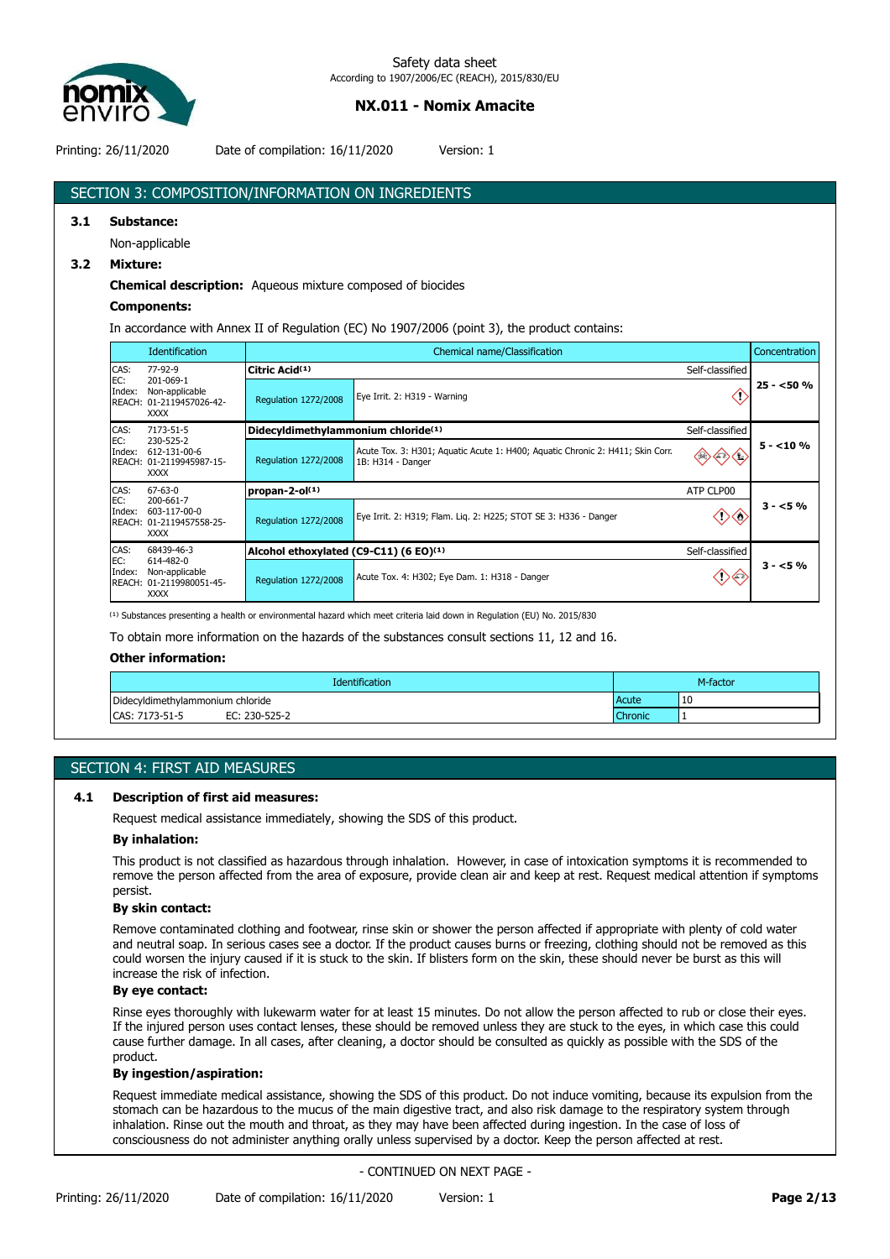

Printing: 26/11/2020 Date of compilation: 16/11/2020 Version: 1

# SECTION 3: COMPOSITION/INFORMATION ON INGREDIENTS

### **3.1 Substance:**

Non-applicable

### **3.2 Mixture:**

**Chemical description:** Aqueous mixture composed of biocides

### **Components:**

In accordance with Annex II of Regulation (EC) No 1907/2006 (point 3), the product contains:

|               | <b>Identification</b>                                                  |                                        | Chemical name/Classification                                                                        |                 | Concentration |
|---------------|------------------------------------------------------------------------|----------------------------------------|-----------------------------------------------------------------------------------------------------|-----------------|---------------|
| CAS:          | 77-92-9                                                                | Citric Acid(1)                         |                                                                                                     | Self-classified |               |
| EC:<br>Index: | 201-069-1<br>Non-applicable<br>REACH: 01-2119457026-42-<br><b>XXXX</b> | <b>Regulation 1272/2008</b>            | Eye Irrit. 2: H319 - Warning                                                                        | U               | $25 - 50%$    |
| CAS:          | 7173-51-5<br>230-525-2                                                 |                                        | Didecyldimethylammonium chloride <sup>(1)</sup>                                                     |                 |               |
| EC:<br>Index: | 612-131-00-6<br>REACH: 01-2119945987-15-<br><b>XXXX</b>                | <b>Regulation 1272/2008</b>            | Acute Tox. 3: H301; Aquatic Acute 1: H400; Aquatic Chronic 2: H411; Skin Corr.<br>1B: H314 - Danger |                 | $5 - 10%$     |
| CAS:          | $67 - 63 - 0$                                                          | propan-2-ol $(1)$                      |                                                                                                     | ATP CLP00       |               |
| EC:<br>Index: | 200-661-7<br>603-117-00-0<br>REACH: 01-2119457558-25-<br><b>XXXX</b>   | <b>Requlation 1272/2008</b>            | Eye Irrit. 2: H319; Flam. Liq. 2: H225; STOT SE 3: H336 - Danger                                    |                 | $3 - 5%$      |
| CAS:          | 68439-46-3                                                             | Alcohol ethoxylated (C9-C11) (6 EO)(1) |                                                                                                     | Self-classified |               |
| EC:<br>Index: | 614-482-0<br>Non-applicable<br>REACH: 01-2119980051-45-<br><b>XXXX</b> | <b>Regulation 1272/2008</b>            | Acute Tox. 4: H302; Eye Dam. 1: H318 - Danger                                                       |                 | $3 - 5%$      |

<sup>(1)</sup> Substances presenting a health or environmental hazard which meet criteria laid down in Regulation (EU) No. 2015/830

To obtain more information on the hazards of the substances consult sections 11, 12 and 16.

### **Other information:**

| <b>Identification</b>            |                | M-factor |
|----------------------------------|----------------|----------|
| Didecyldimethylammonium chloride | 10<br>Acute    |          |
| EC: 230-525-2<br>CAS: 7173-51-5  | <b>Chronic</b> |          |

## SECTION 4: FIRST AID MEASURES

### **4.1 Description of first aid measures:**

Request medical assistance immediately, showing the SDS of this product.

### **By inhalation:**

This product is not classified as hazardous through inhalation. However, in case of intoxication symptoms it is recommended to remove the person affected from the area of exposure, provide clean air and keep at rest. Request medical attention if symptoms persist.

### **By skin contact:**

Remove contaminated clothing and footwear, rinse skin or shower the person affected if appropriate with plenty of cold water and neutral soap. In serious cases see a doctor. If the product causes burns or freezing, clothing should not be removed as this could worsen the injury caused if it is stuck to the skin. If blisters form on the skin, these should never be burst as this will increase the risk of infection.

### **By eye contact:**

Rinse eyes thoroughly with lukewarm water for at least 15 minutes. Do not allow the person affected to rub or close their eyes. If the injured person uses contact lenses, these should be removed unless they are stuck to the eyes, in which case this could cause further damage. In all cases, after cleaning, a doctor should be consulted as quickly as possible with the SDS of the product.

### **By ingestion/aspiration:**

Request immediate medical assistance, showing the SDS of this product. Do not induce vomiting, because its expulsion from the stomach can be hazardous to the mucus of the main digestive tract, and also risk damage to the respiratory system through inhalation. Rinse out the mouth and throat, as they may have been affected during ingestion. In the case of loss of consciousness do not administer anything orally unless supervised by a doctor. Keep the person affected at rest.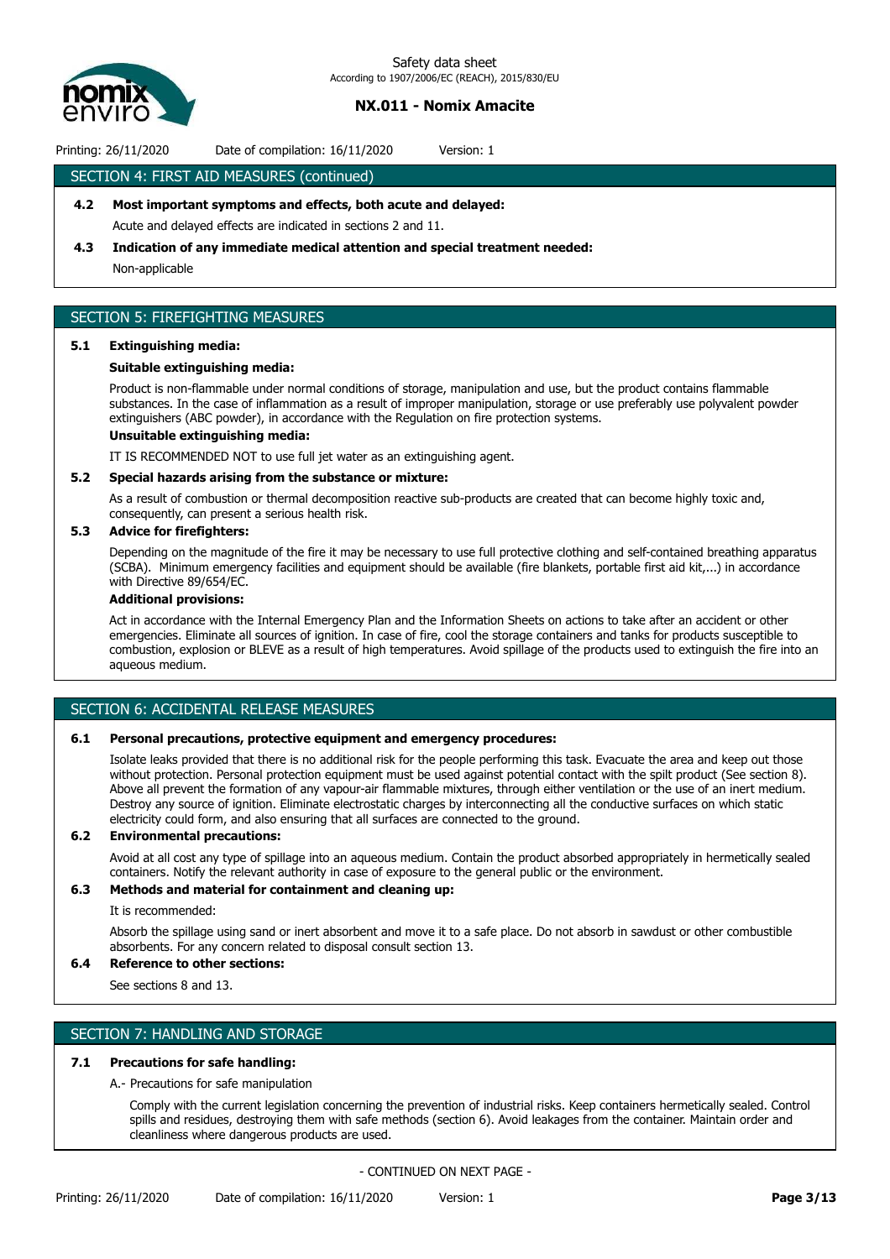

Printing: 26/11/2020 Date of compilation: 16/11/2020 Version: 1

## SECTION 4: FIRST AID MEASURES (continued)

## **4.2 Most important symptoms and effects, both acute and delayed:**

Acute and delayed effects are indicated in sections 2 and 11.

### **4.3 Indication of any immediate medical attention and special treatment needed:**

Non-applicable

## SECTION 5: FIREFIGHTING MEASURES

### **5.1 Extinguishing media:**

### **Suitable extinguishing media:**

Product is non-flammable under normal conditions of storage, manipulation and use, but the product contains flammable substances. In the case of inflammation as a result of improper manipulation, storage or use preferably use polyvalent powder extinguishers (ABC powder), in accordance with the Regulation on fire protection systems.

## **Unsuitable extinguishing media:**

IT IS RECOMMENDED NOT to use full jet water as an extinguishing agent.

### **5.2 Special hazards arising from the substance or mixture:**

As a result of combustion or thermal decomposition reactive sub-products are created that can become highly toxic and, consequently, can present a serious health risk.

## **5.3 Advice for firefighters:**

Depending on the magnitude of the fire it may be necessary to use full protective clothing and self-contained breathing apparatus (SCBA). Minimum emergency facilities and equipment should be available (fire blankets, portable first aid kit,...) in accordance with Directive 89/654/EC.

## **Additional provisions:**

Act in accordance with the Internal Emergency Plan and the Information Sheets on actions to take after an accident or other emergencies. Eliminate all sources of ignition. In case of fire, cool the storage containers and tanks for products susceptible to combustion, explosion or BLEVE as a result of high temperatures. Avoid spillage of the products used to extinguish the fire into an aqueous medium.

## SECTION 6: ACCIDENTAL RELEASE MEASURES

### **6.1 Personal precautions, protective equipment and emergency procedures:**

Isolate leaks provided that there is no additional risk for the people performing this task. Evacuate the area and keep out those without protection. Personal protection equipment must be used against potential contact with the spilt product (See section 8). Above all prevent the formation of any vapour-air flammable mixtures, through either ventilation or the use of an inert medium. Destroy any source of ignition. Eliminate electrostatic charges by interconnecting all the conductive surfaces on which static electricity could form, and also ensuring that all surfaces are connected to the ground.

## **6.2 Environmental precautions:**

Avoid at all cost any type of spillage into an aqueous medium. Contain the product absorbed appropriately in hermetically sealed containers. Notify the relevant authority in case of exposure to the general public or the environment.

# **6.3 Methods and material for containment and cleaning up:**

## It is recommended:

Absorb the spillage using sand or inert absorbent and move it to a safe place. Do not absorb in sawdust or other combustible absorbents. For any concern related to disposal consult section 13.

## **6.4 Reference to other sections:**

See sections 8 and 13.

## SECTION 7: HANDLING AND STORAGE

## **7.1 Precautions for safe handling:**

### A.- Precautions for safe manipulation

Comply with the current legislation concerning the prevention of industrial risks. Keep containers hermetically sealed. Control spills and residues, destroying them with safe methods (section 6). Avoid leakages from the container. Maintain order and cleanliness where dangerous products are used.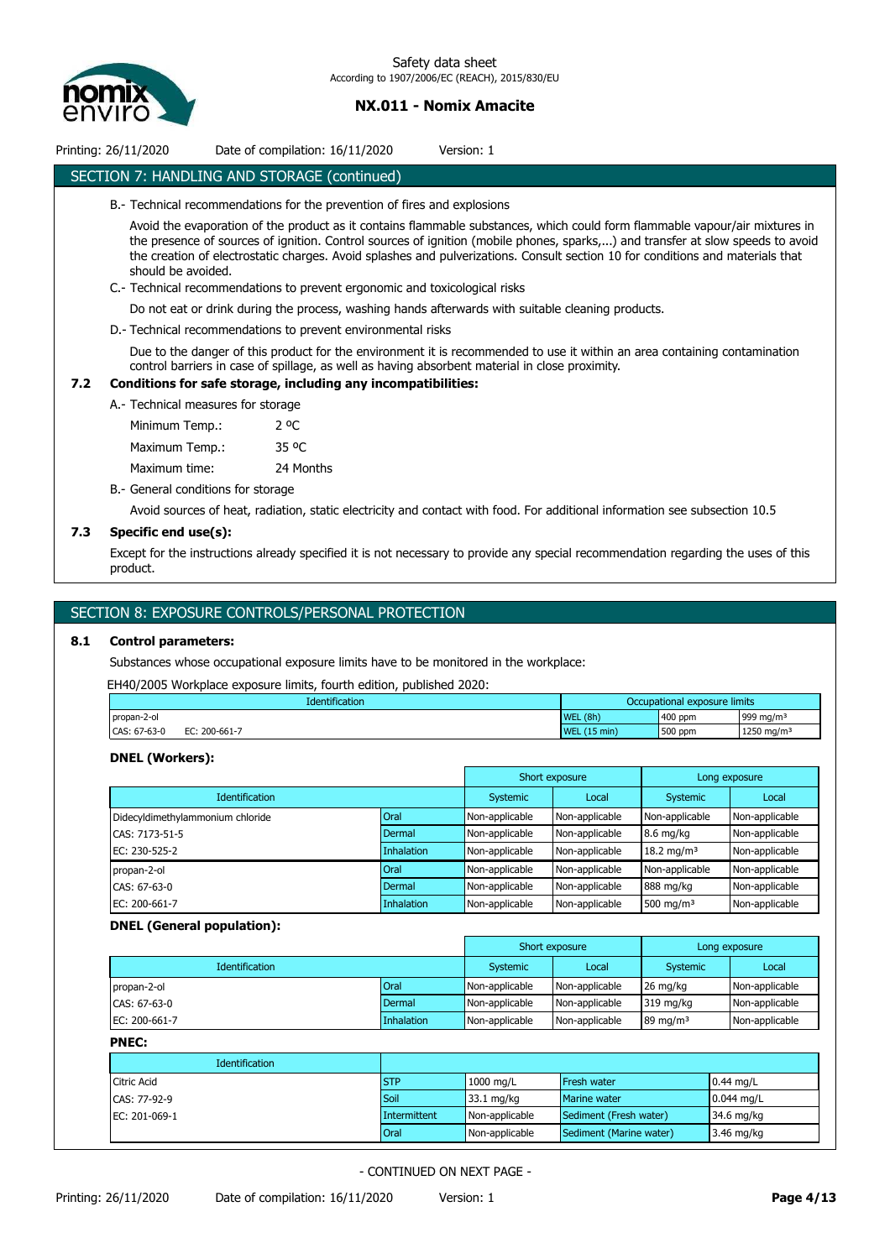

| Printing: 26/11/2020 | Date of compilation: 16/11/2020                                          | Version: 1                                                                                                                                                                                                           |
|----------------------|--------------------------------------------------------------------------|----------------------------------------------------------------------------------------------------------------------------------------------------------------------------------------------------------------------|
|                      | SECTION 7: HANDLING AND STORAGE (continued)                              |                                                                                                                                                                                                                      |
|                      | B.- Technical recommendations for the prevention of fires and explosions |                                                                                                                                                                                                                      |
|                      |                                                                          | Avoid the evaporation of the product as it contains flammable substances, which could form flammable va<br>the presence of sources of ignition. Control sources of ignition (mobile phones, sparks,) and transfer at |

apour/air mixtures in slow speeds to avoid the creation of electrostatic charges. Avoid splashes and pulverizations. Consult section 10 for conditions and materials that should be avoided.

- C.- Technical recommendations to prevent ergonomic and toxicological risks
	- Do not eat or drink during the process, washing hands afterwards with suitable cleaning products.
- D.- Technical recommendations to prevent environmental risks

Due to the danger of this product for the environment it is recommended to use it within an area containing contamination control barriers in case of spillage, as well as having absorbent material in close proximity.

## **7.2 Conditions for safe storage, including any incompatibilities:**

A.- Technical measures for storage

Minimum Temp.: 2 ºC Maximum Temp.: 35 °C Maximum time: 24 Months

- 
- B.- General conditions for storage

Avoid sources of heat, radiation, static electricity and contact with food. For additional information see subsection 10.5

## **7.3 Specific end use(s):**

Except for the instructions already specified it is not necessary to provide any special recommendation regarding the uses of this product.

## SECTION 8: EXPOSURE CONTROLS/PERSONAL PROTECTION

### **8.1 Control parameters:**

Substances whose occupational exposure limits have to be monitored in the workplace:

EH40/2005 Workplace exposure limits, fourth edition, published 2020:

|              | Identification  | Occupational exposure limits     |         |                        |
|--------------|-----------------|----------------------------------|---------|------------------------|
| propan-2-ol  |                 | WEL(8h)                          | 400 ppm | 999 mg/m <sup>3</sup>  |
| CAS: 67-63-0 | FС<br>200-661-7 | $(15 \text{ min})$<br><b>WEL</b> | 500 ppm | 1250 mg/m <sup>3</sup> |

## **DNEL (Workers):**

|                                  |             |                | Short exposure<br>Long exposure |                        |                |
|----------------------------------|-------------|----------------|---------------------------------|------------------------|----------------|
| <b>Identification</b>            |             | Systemic       | Local                           | Systemic               | Local          |
| Didecyldimethylammonium chloride | Oral        | Non-applicable | Non-applicable                  | Non-applicable         | Non-applicable |
| CAS: 7173-51-5                   | Dermal      | Non-applicable | Non-applicable                  | $8.6$ mg/kg            | Non-applicable |
| EC: 230-525-2                    | Inhalation  | Non-applicable | Non-applicable                  | 18.2 mg/m <sup>3</sup> | Non-applicable |
| propan-2-ol                      | <b>Oral</b> | Non-applicable | Non-applicable                  | Non-applicable         | Non-applicable |
| CAS: 67-63-0                     | Dermal      | Non-applicable | Non-applicable                  | 888 mg/kg              | Non-applicable |
| EC: 200-661-7                    | Inhalation  | Non-applicable | Non-applicable                  | 500 mg/m $3$           | Non-applicable |

## **DNEL (General population):**

|                       |            |                 | Short exposure |                     | Long exposure  |
|-----------------------|------------|-----------------|----------------|---------------------|----------------|
| <b>Identification</b> |            | <b>Systemic</b> | Local          | Systemic            | Local          |
| propan-2-ol           | Oral       | Non-applicable  | Non-applicable | 26 ma/ka            | Non-applicable |
| CAS: 67-63-0          | Dermal     | Non-applicable  | Non-applicable | 319 ma/ka           | Non-applicable |
| EC: 200-661-7         | Inhalation | Non-applicable  | Non-applicable | $89 \text{ mg/m}^3$ | Non-applicable |

**PNEC:**

| .                     |              |                |                         |                      |
|-----------------------|--------------|----------------|-------------------------|----------------------|
| <b>Identification</b> |              |                |                         |                      |
| <b>Citric Acid</b>    | <b>STP</b>   | 1000 mg/L      | Fresh water             | $0.44 \text{ mg/L}$  |
| CAS: 77-92-9          | Soil         | 33.1 mg/kg     | Marine water            | $0.044$ mg/L         |
| EC: 201-069-1         | Intermittent | Non-applicable | Sediment (Fresh water)  | $34.6 \text{ mg/kg}$ |
|                       | Oral         | Non-applicable | Sediment (Marine water) | $3.46$ mg/kg         |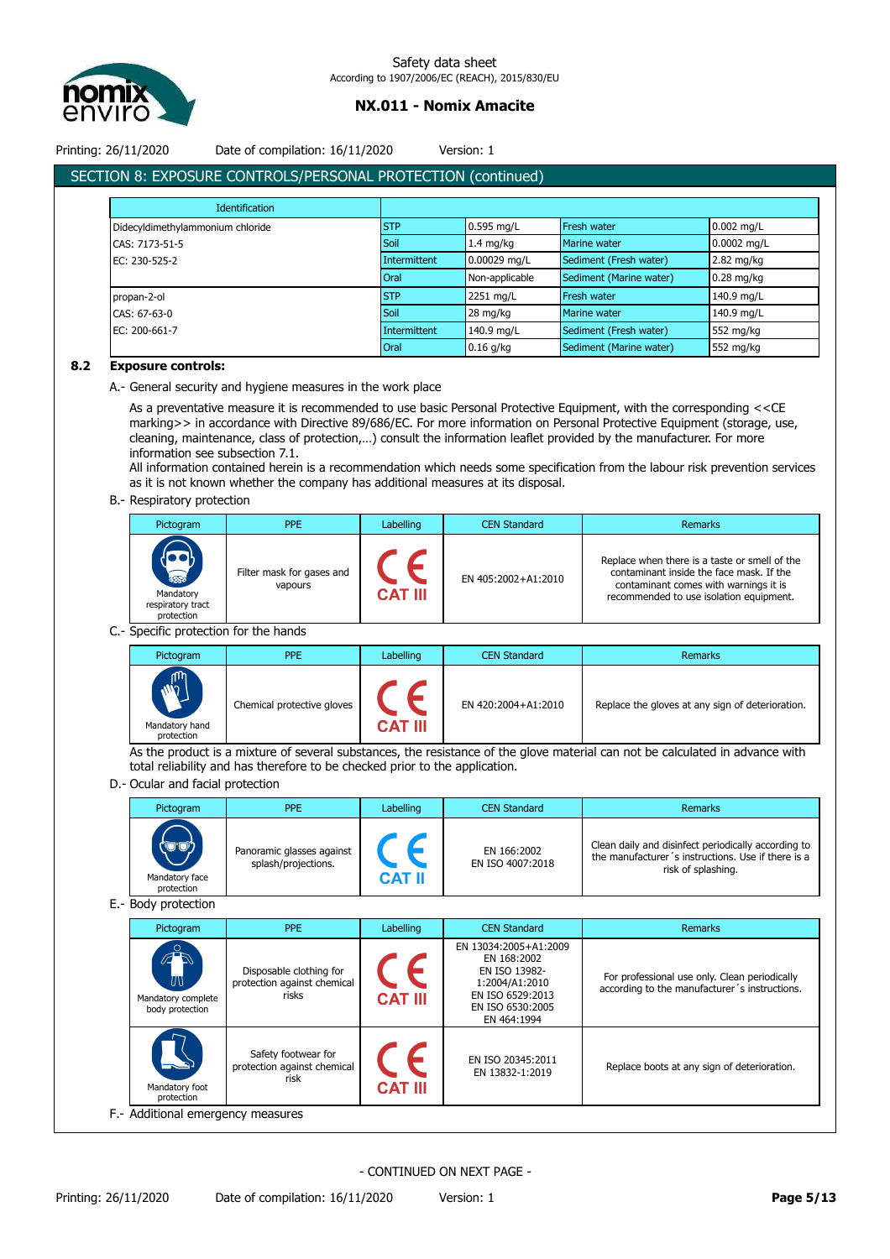

Printing: 26/11/2020 Date of compilation: 16/11/2020 Version: 1

# SECTION 8: EXPOSURE CONTROLS/PERSONAL PROTECTION (continued)

| Identification                   |              |                     |                         |               |
|----------------------------------|--------------|---------------------|-------------------------|---------------|
| Didecyldimethylammonium chloride | <b>STP</b>   | 0.595 mg/L          | Fresh water             | $0.002$ mg/L  |
| CAS: 7173-51-5                   | Soil         | $1.4 \text{ mg/kg}$ | Marine water            | $0.0002$ mg/L |
| EC: 230-525-2                    | Intermittent | 0.00029 mg/L        | Sediment (Fresh water)  | 2.82 mg/kg    |
|                                  | <b>Oral</b>  | Non-applicable      | Sediment (Marine water) | $0.28$ mg/kg  |
| propan-2-ol                      | <b>STP</b>   | 2251 mg/L           | <b>Fresh water</b>      | 140.9 mg/L    |
| CAS: 67-63-0                     | Soil         | 28 mg/kg            | Marine water            | 140.9 mg/L    |
| EC: 200-661-7                    | Intermittent | 140.9 mg/L          | Sediment (Fresh water)  | 552 mg/kg     |
|                                  | Oral         | $0.16$ g/kg         | Sediment (Marine water) | 552 mg/kg     |

## **8.2 Exposure controls:**

A.- General security and hygiene measures in the work place

As a preventative measure it is recommended to use basic Personal Protective Equipment, with the corresponding <<CE marking>> in accordance with Directive 89/686/EC. For more information on Personal Protective Equipment (storage, use, cleaning, maintenance, class of protection,…) consult the information leaflet provided by the manufacturer. For more information see subsection 7.1.

All information contained herein is a recommendation which needs some specification from the labour risk prevention services as it is not known whether the company has additional measures at its disposal.

## B.- Respiratory protection

| Pictogram                                                           | <b>PPE</b>                           | Labelling      | <b>CEN Standard</b> | Remarks                                                                                                                                                                       |
|---------------------------------------------------------------------|--------------------------------------|----------------|---------------------|-------------------------------------------------------------------------------------------------------------------------------------------------------------------------------|
| <b>Respectively</b><br>Mandatory<br>respiratory tract<br>protection | Filter mask for gases and<br>vapours | <b>CAT III</b> | EN 405:2002+A1:2010 | Replace when there is a taste or smell of the<br>contaminant inside the face mask. If the<br>contaminant comes with warnings it is<br>recommended to use isolation equipment. |

C.- Specific protection for the hands

| Pictogram                                                                | <b>PPE</b>                 | Labelling      | <b>CEN Standard</b> | Remarks                                          |
|--------------------------------------------------------------------------|----------------------------|----------------|---------------------|--------------------------------------------------|
| lψ<br><b>NN</b><br>$\blacktriangleright$<br>Mandatory hand<br>protection | Chemical protective gloves | <b>CAT III</b> | EN 420:2004+A1:2010 | Replace the gloves at any sign of deterioration. |

As the product is a mixture of several substances, the resistance of the glove material can not be calculated in advance with total reliability and has therefore to be checked prior to the application.

## D.- Ocular and facial protection

| Pictogram                            | <b>PPE</b>                                       | Labelling | <b>CEN Standard</b>             | <b>Remarks</b>                                                                                                                  |
|--------------------------------------|--------------------------------------------------|-----------|---------------------------------|---------------------------------------------------------------------------------------------------------------------------------|
| (ud)<br>Mandatory face<br>protection | Panoramic glasses against<br>splash/projections. | CAT II    | EN 166:2002<br>EN ISO 4007:2018 | Clean daily and disinfect periodically according to<br>the manufacturer's instructions. Use if there is a<br>risk of splashing. |

E.- Body protection

| Pictogram                                        | <b>PPE</b>                                                      | Labelling      | <b>CEN Standard</b>                                                                                                            | Remarks                                                                                        |
|--------------------------------------------------|-----------------------------------------------------------------|----------------|--------------------------------------------------------------------------------------------------------------------------------|------------------------------------------------------------------------------------------------|
| O<br>UV<br>Mandatory complete<br>body protection | Disposable clothing for<br>protection against chemical<br>risks | <b>CAT III</b> | EN 13034:2005+A1:2009<br>EN 168:2002<br>EN ISO 13982-<br>1:2004/A1:2010<br>EN ISO 6529:2013<br>EN ISO 6530:2005<br>EN 464:1994 | For professional use only. Clean periodically<br>according to the manufacturer's instructions. |
| Mandatory foot<br>protection                     | Safety footwear for<br>protection against chemical<br>risk      | <b>CAT III</b> | EN ISO 20345:2011<br>EN 13832-1:2019                                                                                           | Replace boots at any sign of deterioration.                                                    |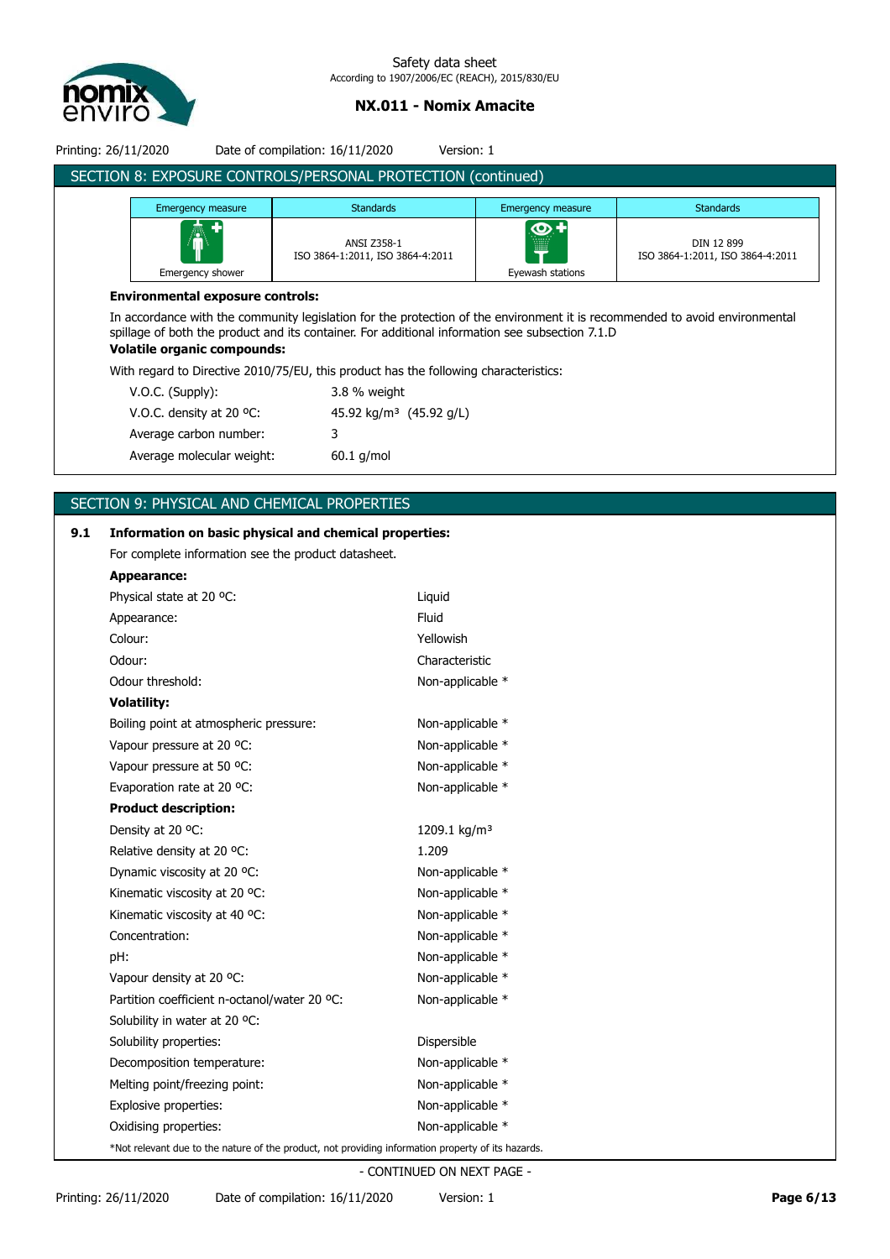

| Printing: 26/11/2020                                         |                                         | Date of compilation: 16/11/2020<br>Version: 1   |                                                    |                                                |  |  |  |  |
|--------------------------------------------------------------|-----------------------------------------|-------------------------------------------------|----------------------------------------------------|------------------------------------------------|--|--|--|--|
| SECTION 8: EXPOSURE CONTROLS/PERSONAL PROTECTION (continued) |                                         |                                                 |                                                    |                                                |  |  |  |  |
|                                                              | Emergency measure                       | <b>Standards</b>                                | Emergency measure                                  | <b>Standards</b>                               |  |  |  |  |
|                                                              | 鸁<br>Emergency shower                   | ANSI Z358-1<br>ISO 3864-1:2011, ISO 3864-4:2011 | $\overline{\mathbf{O}}$<br>ill<br>Eyewash stations | DIN 12 899<br>ISO 3864-1:2011, ISO 3864-4:2011 |  |  |  |  |
|                                                              | <b>Environmental exposure controls:</b> |                                                 |                                                    |                                                |  |  |  |  |

In accordance with the community legislation for the protection of the environment it is recommended to avoid environmental spillage of both the product and its container. For additional information see subsection 7.1.D **Volatile organic compounds:**

With regard to Directive 2010/75/EU, this product has the following characteristics:

| $V.O.C.$ (Supply):                 | 3.8 % weight                        |
|------------------------------------|-------------------------------------|
| V.O.C. density at 20 $^{\circ}$ C: | 45.92 kg/m <sup>3</sup> (45.92 g/L) |
| Average carbon number:             | 3                                   |
| Average molecular weight:          | $60.1$ g/mol                        |

## SECTION 9: PHYSICAL AND CHEMICAL PROPERTIES

# **9.1 Information on basic physical and chemical properties:** For complete information see the product datasheet. **Appearance:** Physical state at 20 °C: Liquid Appearance: Fluid Colour: Yellowish Odour: Characteristic Odour threshold: Non-applicable \* **Volatility:** Boiling point at atmospheric pressure: Non-applicable \* Vapour pressure at 20 °C: Non-applicable \* Vapour pressure at 50 °C: Non-applicable \* Evaporation rate at 20 °C: Non-applicable \* **Product description:** Density at 20 °C:  $1209.1 \text{ kg/m}^3$ Relative density at 20 °C: 1.209 Dynamic viscosity at 20 °C: Non-applicable \* Kinematic viscosity at 20 °C: Non-applicable \* Kinematic viscosity at 40 °C: Non-applicable \* Concentration: Non-applicable \* pH:  $\blacksquare$ Vapour density at 20 °C: Non-applicable \* Partition coefficient n-octanol/water 20 °C: Non-applicable \* Solubility in water at 20 °C: Solubility properties:  $\qquad \qquad$  Dispersible Decomposition temperature: Non-applicable \* Melting point/freezing point: Non-applicable \* Explosive properties: Non-applicable \* Oxidising properties: Non-applicable \* \*Not relevant due to the nature of the product, not providing information property of its hazards.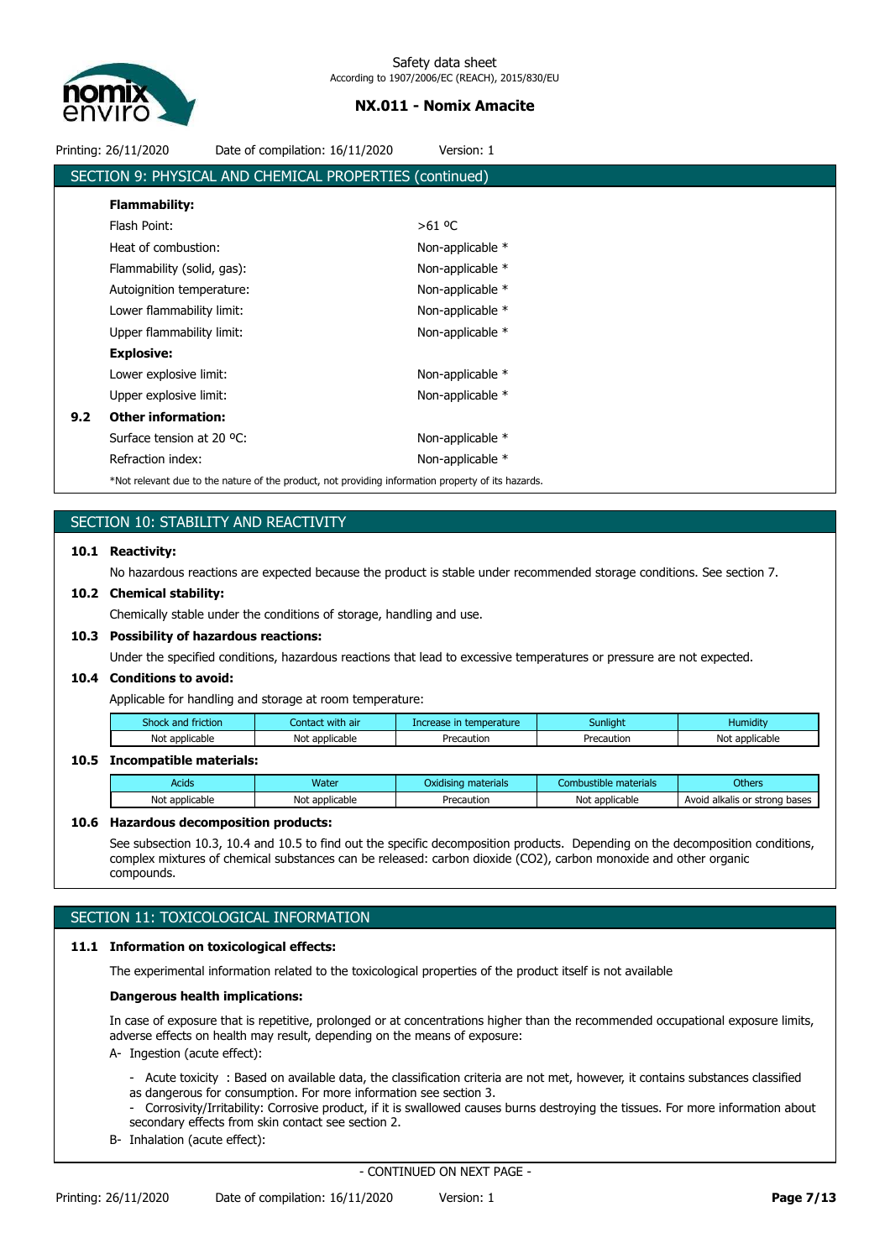

|     | Printing: 26/11/2020       | Date of compilation: 16/11/2020                                                                    | Version: 1       |  |
|-----|----------------------------|----------------------------------------------------------------------------------------------------|------------------|--|
|     |                            | SECTION 9: PHYSICAL AND CHEMICAL PROPERTIES (continued)                                            |                  |  |
|     | <b>Flammability:</b>       |                                                                                                    |                  |  |
|     | Flash Point:               |                                                                                                    | $>61$ °C         |  |
|     | Heat of combustion:        |                                                                                                    | Non-applicable * |  |
|     | Flammability (solid, gas): |                                                                                                    | Non-applicable * |  |
|     | Autoignition temperature:  |                                                                                                    | Non-applicable * |  |
|     | Lower flammability limit:  |                                                                                                    | Non-applicable * |  |
|     | Upper flammability limit:  |                                                                                                    | Non-applicable * |  |
|     | <b>Explosive:</b>          |                                                                                                    |                  |  |
|     | Lower explosive limit:     |                                                                                                    | Non-applicable * |  |
|     | Upper explosive limit:     |                                                                                                    | Non-applicable * |  |
| 9.2 | <b>Other information:</b>  |                                                                                                    |                  |  |
|     | Surface tension at 20 °C:  |                                                                                                    | Non-applicable * |  |
|     | Refraction index:          |                                                                                                    | Non-applicable * |  |
|     |                            | *Not relevant due to the nature of the product, not providing information property of its hazards. |                  |  |
|     |                            |                                                                                                    |                  |  |

# SECTION 10: STABILITY AND REACTIVITY

## **10.1 Reactivity:**

No hazardous reactions are expected because the product is stable under recommended storage conditions. See section 7.

### **10.2 Chemical stability:**

Chemically stable under the conditions of storage, handling and use.

### **10.3 Possibility of hazardous reactions:**

Under the specified conditions, hazardous reactions that lead to excessive temperatures or pressure are not expected.

## **10.4 Conditions to avoid:**

Applicable for handling and storage at room temperature:

| fiction<br>shock<br>and | with air<br>Contac    | :emperature<br>ю | Sunliaht   | .<br>Humidity     |
|-------------------------|-----------------------|------------------|------------|-------------------|
| Not<br>plicable<br>ann  | * applicable :<br>Not | Precaution       | Precaution | applicable<br>Noi |

## **10.5 Incompatible materials:**

| Acids                     | <b>Water</b>                  | materials<br>Oxidisina | : materials<br>Combustible    | Others                                             |
|---------------------------|-------------------------------|------------------------|-------------------------------|----------------------------------------------------|
| Not applicable<br>лісаріе | annlicable<br>uicable<br>งเวเ | Precaution             | Not applicable<br>10011 CODIE | bases<br>Avoia<br>l alkalis or<br>strona<br>$\sim$ |

### **10.6 Hazardous decomposition products:**

See subsection 10.3, 10.4 and 10.5 to find out the specific decomposition products. Depending on the decomposition conditions, complex mixtures of chemical substances can be released: carbon dioxide (CO2), carbon monoxide and other organic compounds.

# SECTION 11: TOXICOLOGICAL INFORMATION

## **11.1 Information on toxicological effects:**

The experimental information related to the toxicological properties of the product itself is not available

### **Dangerous health implications:**

In case of exposure that is repetitive, prolonged or at concentrations higher than the recommended occupational exposure limits, adverse effects on health may result, depending on the means of exposure:

- A- Ingestion (acute effect):
	- Acute toxicity : Based on available data, the classification criteria are not met, however, it contains substances classified as dangerous for consumption. For more information see section 3.
	- Corrosivity/Irritability: Corrosive product, if it is swallowed causes burns destroying the tissues. For more information about secondary effects from skin contact see section 2.
- B- Inhalation (acute effect):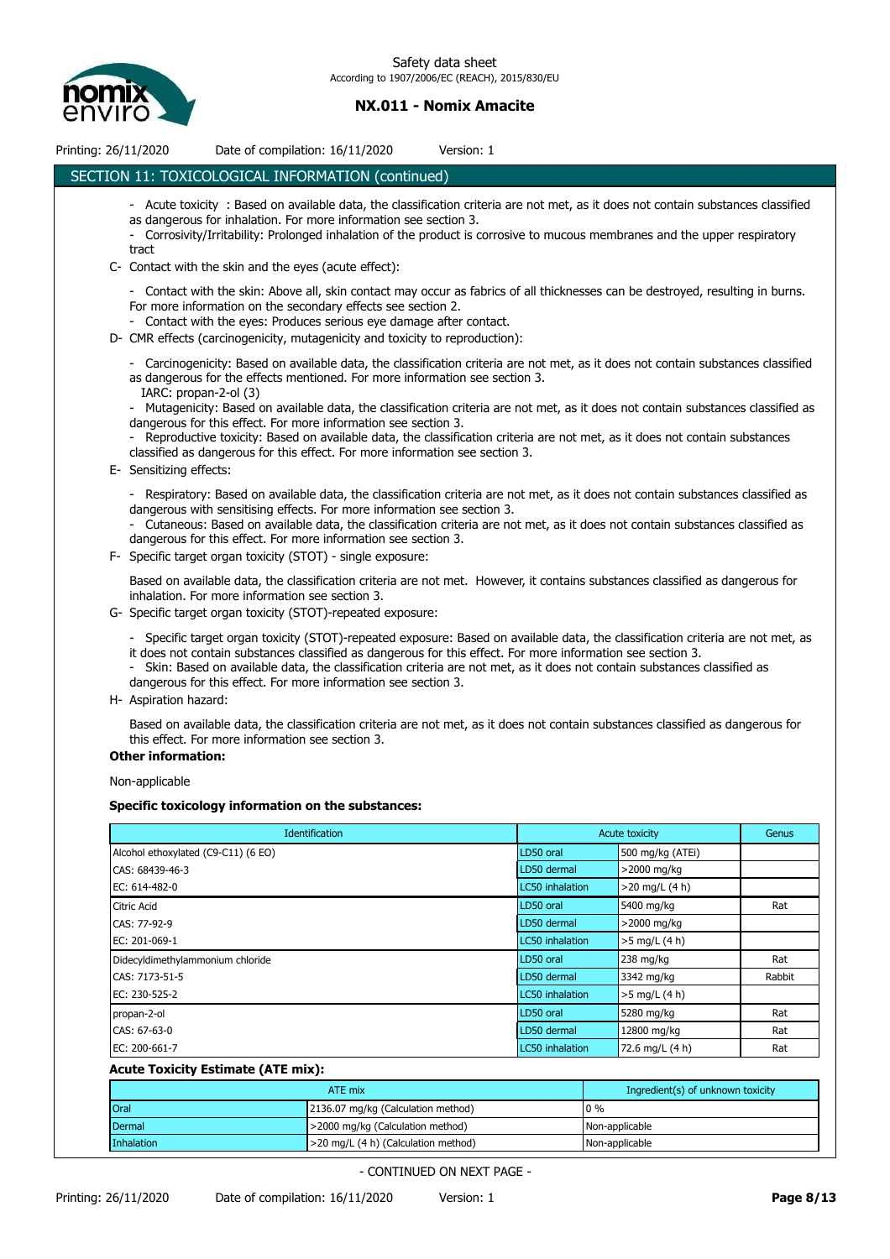

| Printing: 26/11/2020                | Date of compilation: 16/11/2020                                                                                                                                                                                                                                                                                                                                                                                                                                                                                                                                                                                                                                  | Version: 1 |                        |                  |        |
|-------------------------------------|------------------------------------------------------------------------------------------------------------------------------------------------------------------------------------------------------------------------------------------------------------------------------------------------------------------------------------------------------------------------------------------------------------------------------------------------------------------------------------------------------------------------------------------------------------------------------------------------------------------------------------------------------------------|------------|------------------------|------------------|--------|
|                                     | SECTION 11: TOXICOLOGICAL INFORMATION (continued)                                                                                                                                                                                                                                                                                                                                                                                                                                                                                                                                                                                                                |            |                        |                  |        |
| tract                               | - Acute toxicity: Based on available data, the classification criteria are not met, as it does not contain substances classified<br>as dangerous for inhalation. For more information see section 3.<br>- Corrosivity/Irritability: Prolonged inhalation of the product is corrosive to mucous membranes and the upper respiratory                                                                                                                                                                                                                                                                                                                               |            |                        |                  |        |
|                                     | C- Contact with the skin and the eyes (acute effect):                                                                                                                                                                                                                                                                                                                                                                                                                                                                                                                                                                                                            |            |                        |                  |        |
|                                     | - Contact with the skin: Above all, skin contact may occur as fabrics of all thicknesses can be destroyed, resulting in burns.<br>For more information on the secondary effects see section 2.<br>- Contact with the eyes: Produces serious eye damage after contact.<br>D- CMR effects (carcinogenicity, mutagenicity and toxicity to reproduction):                                                                                                                                                                                                                                                                                                            |            |                        |                  |        |
|                                     | - Carcinogenicity: Based on available data, the classification criteria are not met, as it does not contain substances classified<br>as dangerous for the effects mentioned. For more information see section 3.<br>IARC: propan-2-ol (3)<br>- Mutagenicity: Based on available data, the classification criteria are not met, as it does not contain substances classified as<br>dangerous for this effect. For more information see section 3.<br>- Reproductive toxicity: Based on available data, the classification criteria are not met, as it does not contain substances<br>classified as dangerous for this effect. For more information see section 3. |            |                        |                  |        |
| E- Sensitizing effects:             |                                                                                                                                                                                                                                                                                                                                                                                                                                                                                                                                                                                                                                                                  |            |                        |                  |        |
|                                     | - Respiratory: Based on available data, the classification criteria are not met, as it does not contain substances classified as<br>dangerous with sensitising effects. For more information see section 3.<br>- Cutaneous: Based on available data, the classification criteria are not met, as it does not contain substances classified as<br>dangerous for this effect. For more information see section 3.<br>F- Specific target organ toxicity (STOT) - single exposure:                                                                                                                                                                                   |            |                        |                  |        |
|                                     | Based on available data, the classification criteria are not met. However, it contains substances classified as dangerous for<br>inhalation. For more information see section 3.                                                                                                                                                                                                                                                                                                                                                                                                                                                                                 |            |                        |                  |        |
|                                     | G- Specific target organ toxicity (STOT)-repeated exposure:                                                                                                                                                                                                                                                                                                                                                                                                                                                                                                                                                                                                      |            |                        |                  |        |
| <b>Other information:</b>           | - Specific target organ toxicity (STOT)-repeated exposure: Based on available data, the classification criteria are not met, as<br>it does not contain substances classified as dangerous for this effect. For more information see section 3.<br>- Skin: Based on available data, the classification criteria are not met, as it does not contain substances classified as<br>dangerous for this effect. For more information see section 3.<br>H- Aspiration hazard:<br>Based on available data, the classification criteria are not met, as it does not contain substances classified as dangerous for<br>this effect. For more information see section 3.    |            |                        |                  |        |
|                                     |                                                                                                                                                                                                                                                                                                                                                                                                                                                                                                                                                                                                                                                                  |            |                        |                  |        |
| Non-applicable                      |                                                                                                                                                                                                                                                                                                                                                                                                                                                                                                                                                                                                                                                                  |            |                        |                  |        |
|                                     | Specific toxicology information on the substances:                                                                                                                                                                                                                                                                                                                                                                                                                                                                                                                                                                                                               |            |                        |                  |        |
|                                     | Identification                                                                                                                                                                                                                                                                                                                                                                                                                                                                                                                                                                                                                                                   |            |                        | Acute toxicity   | Genus  |
| Alcohol ethoxylated (C9-C11) (6 EO) |                                                                                                                                                                                                                                                                                                                                                                                                                                                                                                                                                                                                                                                                  |            | LD50 oral              | 500 mg/kg (ATEi) |        |
| CAS: 68439-46-3                     |                                                                                                                                                                                                                                                                                                                                                                                                                                                                                                                                                                                                                                                                  |            | LD50 dermal            | >2000 mg/kg      |        |
| EC: 614-482-0                       |                                                                                                                                                                                                                                                                                                                                                                                                                                                                                                                                                                                                                                                                  |            | LC50 inhalation        | $>20$ mg/L (4 h) |        |
| Citric Acid                         |                                                                                                                                                                                                                                                                                                                                                                                                                                                                                                                                                                                                                                                                  |            | LD50 oral              | 5400 mg/kg       | Rat    |
| CAS: 77-92-9                        |                                                                                                                                                                                                                                                                                                                                                                                                                                                                                                                                                                                                                                                                  |            | LD50 dermal            | >2000 mg/kg      |        |
| EC: 201-069-1                       |                                                                                                                                                                                                                                                                                                                                                                                                                                                                                                                                                                                                                                                                  |            | <b>LC50</b> inhalation | >5 mg/L (4 h)    |        |
| Didecyldimethylammonium chloride    |                                                                                                                                                                                                                                                                                                                                                                                                                                                                                                                                                                                                                                                                  |            | LD50 oral              | 238 mg/kg        | Rat    |
| CAS: 7173-51-5                      |                                                                                                                                                                                                                                                                                                                                                                                                                                                                                                                                                                                                                                                                  |            | LD50 dermal            | 3342 mg/kg       | Rabbit |
| EC: 230-525-2                       |                                                                                                                                                                                                                                                                                                                                                                                                                                                                                                                                                                                                                                                                  |            | <b>LC50</b> inhalation | >5 mg/L (4 h)    |        |
| propan-2-ol                         |                                                                                                                                                                                                                                                                                                                                                                                                                                                                                                                                                                                                                                                                  |            | LD50 oral              | 5280 mg/kg       | Rat    |

# **Acute Toxicity Estimate (ATE mix):**

|             | ATE mix                             | Ingredient(s) of unknown toxicity |
|-------------|-------------------------------------|-----------------------------------|
| <b>Oral</b> | 2136.07 mg/kg (Calculation method)  | $0\%$                             |
| Dermal      | >2000 mg/kg (Calculation method)    | Non-applicable                    |
| Inhalation  | >20 mg/L (4 h) (Calculation method) | Non-applicable                    |

CAS: 67-63-0 **CAS: 200 CAS: 67-63-0** Rat EC: 200-661-7 **Ration** Ration **72.6 mg/L (4 h)** Ration **72.6 mg/L (4 h)** Ration **Ration** Ration **Ration** Ration **Ration** Ration **Ration** Ration **Ration** Ration **Ration** Ration **Ration** Ration **Ration** Ration **Ration** Ratio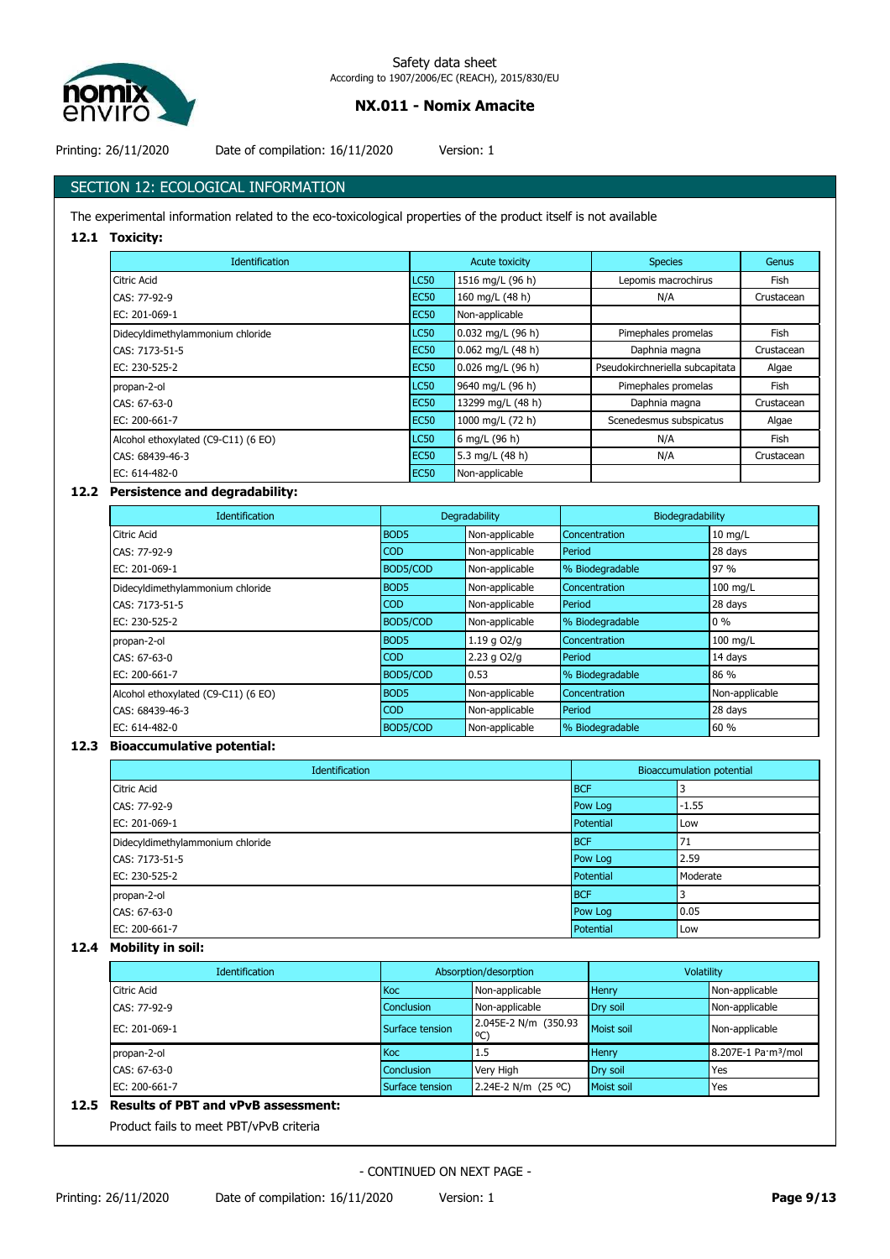

Printing: 26/11/2020 Date of compilation: 16/11/2020 Version: 1

# SECTION 12: ECOLOGICAL INFORMATION

The experimental information related to the eco-toxicological properties of the product itself is not available

## **12.1 Toxicity:**

| <b>Identification</b>               | <b>Acute toxicity</b> |                     | <b>Species</b>                  | Genus       |
|-------------------------------------|-----------------------|---------------------|---------------------------------|-------------|
| Citric Acid                         | <b>LC50</b>           | 1516 mg/L (96 h)    | Lepomis macrochirus             | Fish        |
| CAS: 77-92-9                        | EC <sub>50</sub>      | 160 mg/L (48 h)     | N/A                             | Crustacean  |
| EC: 201-069-1                       | <b>EC50</b>           | Non-applicable      |                                 |             |
| Didecyldimethylammonium chloride    | <b>LC50</b>           | 0.032 mg/L (96 h)   | Pimephales promelas             | <b>Fish</b> |
| CAS: 7173-51-5                      | <b>EC50</b>           | 0.062 mg/L (48 h)   | Daphnia magna                   | Crustacean  |
| EC: 230-525-2                       | <b>EC50</b>           | $0.026$ mg/L (96 h) | Pseudokirchneriella subcapitata | Algae       |
| propan-2-ol                         | <b>LC50</b>           | 9640 mg/L (96 h)    | Pimephales promelas             | Fish        |
| CAS: 67-63-0                        | <b>EC50</b>           | 13299 mg/L (48 h)   | Daphnia magna                   | Crustacean  |
| EC: 200-661-7                       | <b>EC50</b>           | 1000 mg/L (72 h)    | Scenedesmus subspicatus         | Algae       |
| Alcohol ethoxylated (C9-C11) (6 EO) | <b>LC50</b>           | 6 mg/L (96 h)       | N/A                             | Fish        |
| CAS: 68439-46-3                     | EC <sub>50</sub>      | 5.3 mg/L (48 h)     | N/A                             | Crustacean  |
| EC: 614-482-0                       | <b>EC50</b>           | Non-applicable      |                                 |             |

# **12.2 Persistence and degradability:**

| <b>Identification</b>               | Degradability    |                 | Biodegradability |                |
|-------------------------------------|------------------|-----------------|------------------|----------------|
| Citric Acid                         | <b>BOD5</b>      | Non-applicable  | Concentration    | $10$ mg/L      |
| CAS: 77-92-9                        | <b>COD</b>       | Non-applicable  | Period           | 28 days        |
| EC: 201-069-1                       | BOD5/COD         | Non-applicable  | % Biodegradable  | 97 %           |
| Didecyldimethylammonium chloride    | <b>BOD5</b>      | Non-applicable  | Concentration    | 100 mg/L       |
| CAS: 7173-51-5                      | <b>COD</b>       | Non-applicable  | Period           | 28 days        |
| EC: 230-525-2                       | BOD5/COD         | Non-applicable  | % Biodegradable  | $0\%$          |
| propan-2-ol                         | BOD <sub>5</sub> | $1.19$ g $OZ/q$ | Concentration    | 100 mg/L       |
| CAS: 67-63-0                        | <b>COD</b>       | $2.23$ g $O2/q$ | Period           | 14 days        |
| EC: 200-661-7                       | BOD5/COD         | 0.53            | % Biodegradable  | 86 %           |
| Alcohol ethoxylated (C9-C11) (6 EO) | <b>BOD5</b>      | Non-applicable  | Concentration    | Non-applicable |
| CAS: 68439-46-3                     | <b>COD</b>       | Non-applicable  | Period           | 28 days        |
| EC: 614-482-0                       | BOD5/COD         | Non-applicable  | % Biodegradable  | 60 %           |

## **12.3 Bioaccumulative potential:**

| Identification                   |            | <b>Bioaccumulation potential</b> |  |  |
|----------------------------------|------------|----------------------------------|--|--|
| <b>Citric Acid</b>               | <b>BCF</b> | د                                |  |  |
| CAS: 77-92-9                     | Pow Log    | $-1.55$                          |  |  |
| EC: 201-069-1                    | Potential  | Low                              |  |  |
| Didecyldimethylammonium chloride | <b>BCF</b> | 171                              |  |  |
| CAS: 7173-51-5                   | Pow Log    | 2.59                             |  |  |
| EC: 230-525-2                    | Potential  | Moderate                         |  |  |
| propan-2-ol                      | <b>BCF</b> | 3                                |  |  |
| CAS: 67-63-0                     | Pow Log    | 0.05                             |  |  |
| EC: 200-661-7                    | Potential  | Low                              |  |  |

# **12.4 Mobility in soil:**

|                   | Absorption/desorption                 |              | Volatility                      |  |
|-------------------|---------------------------------------|--------------|---------------------------------|--|
| <b>Koc</b>        | Non-applicable                        | <b>Henry</b> | Non-applicable                  |  |
| <b>Conclusion</b> | Non-applicable                        | Dry soil     | Non-applicable                  |  |
| Surface tension   | 2.045E-2 N/m (350.93<br>$^{\circ}$ C) | Moist soil   | Non-applicable                  |  |
| <b>Koc</b>        | 1.5                                   | Henry        | 8.207E-1 Pa·m <sup>3</sup> /mol |  |
| <b>Conclusion</b> | Very High                             | Dry soil     | Yes                             |  |
| Surface tension   | 2.24E-2 N/m (25 °C)                   | Moist soil   | Yes                             |  |
|                   |                                       |              |                                 |  |

# **12.5 Results of PBT and vPvB assessment:**

Product fails to meet PBT/vPvB criteria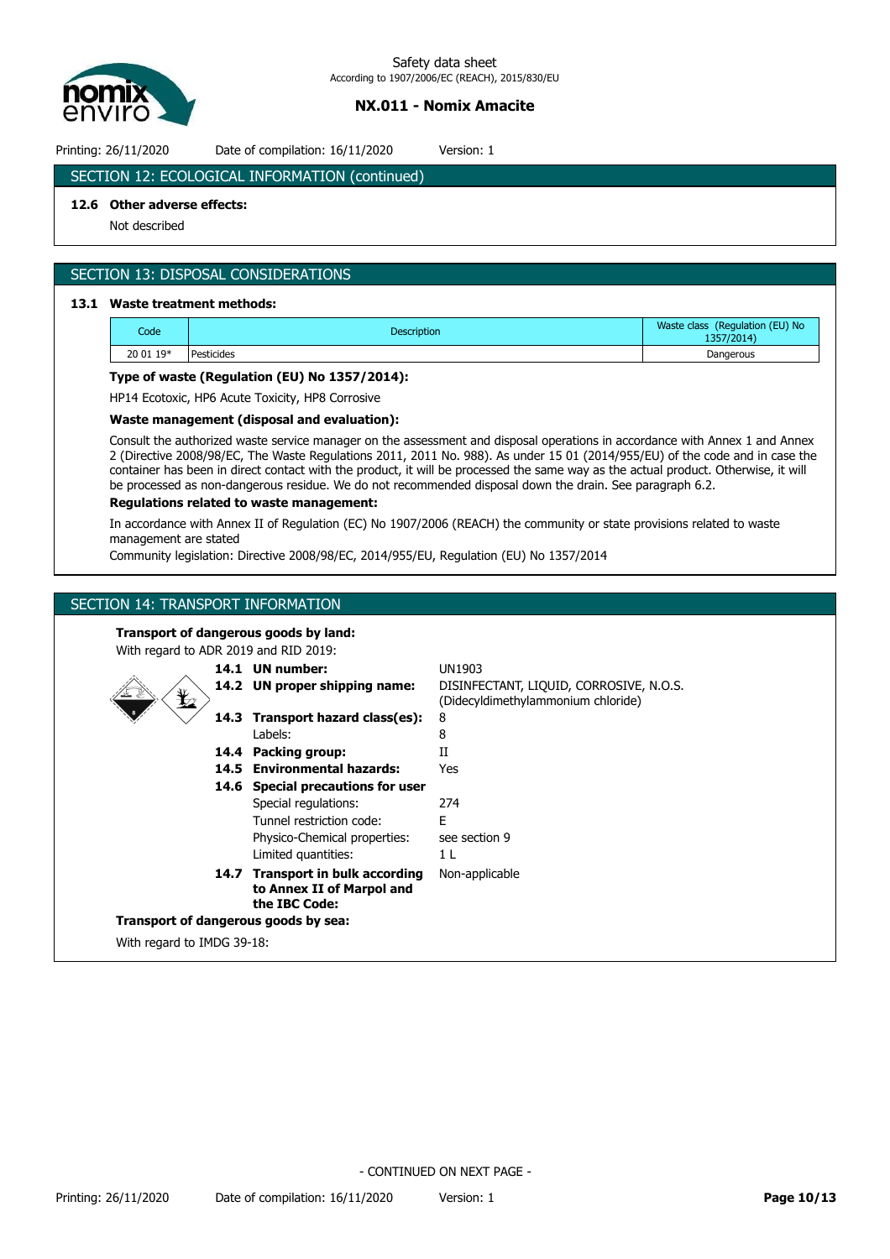

Printing: 26/11/2020 Date of compilation: 16/11/2020 Version: 1

# SECTION 12: ECOLOGICAL INFORMATION (continued)

# **12.6 Other adverse effects:**

Not described

# SECTION 13: DISPOSAL CONSIDERATIONS

# **13.1 Waste treatment methods:**

| Code      | <b>Description</b> | Waste class (Regulation (EU) No<br>1357/2014) |
|-----------|--------------------|-----------------------------------------------|
| 20 01 19* | Pesticides         | Dangerous                                     |

## **Type of waste (Regulation (EU) No 1357/2014):**

HP14 Ecotoxic, HP6 Acute Toxicity, HP8 Corrosive

## **Waste management (disposal and evaluation):**

Consult the authorized waste service manager on the assessment and disposal operations in accordance with Annex 1 and Annex 2 (Directive 2008/98/EC, The Waste Regulations 2011, 2011 No. 988). As under 15 01 (2014/955/EU) of the code and in case the container has been in direct contact with the product, it will be processed the same way as the actual product. Otherwise, it will be processed as non-dangerous residue. We do not recommended disposal down the drain. See paragraph 6.2.

## **Regulations related to waste management:**

In accordance with Annex II of Regulation (EC) No 1907/2006 (REACH) the community or state provisions related to waste management are stated

Community legislation: Directive 2008/98/EC, 2014/955/EU, Regulation (EU) No 1357/2014

## SECTION 14: TRANSPORT INFORMATION

**Transport of dangerous goods by land:**

| With regard to ADR 2019 and RID 2019:      |  |                                                                                |                                         |  |  |
|--------------------------------------------|--|--------------------------------------------------------------------------------|-----------------------------------------|--|--|
|                                            |  | 14.1 UN number:                                                                | UN1903                                  |  |  |
|                                            |  | 14.2 UN proper shipping name:                                                  | DISINFECTANT, LIQUID, CORROSIVE, N.O.S. |  |  |
| $\mathbf{\mathbf{\mathbf{\mathbf{\Psi}}}}$ |  |                                                                                | (Didecyldimethylammonium chloride)      |  |  |
|                                            |  | 14.3 Transport hazard class(es):                                               | 8                                       |  |  |
|                                            |  | Labels:                                                                        | 8                                       |  |  |
|                                            |  | 14.4 Packing group:                                                            | Н                                       |  |  |
|                                            |  | 14.5 Environmental hazards:                                                    | Yes                                     |  |  |
|                                            |  | 14.6 Special precautions for user                                              |                                         |  |  |
|                                            |  | Special regulations:                                                           | 274                                     |  |  |
|                                            |  | Tunnel restriction code:                                                       | F                                       |  |  |
|                                            |  | Physico-Chemical properties:                                                   | see section 9                           |  |  |
|                                            |  | Limited quantities:                                                            | 1 <sub>L</sub>                          |  |  |
|                                            |  | 14.7 Transport in bulk according<br>to Annex II of Marpol and<br>the IBC Code: | Non-applicable                          |  |  |
| Transport of dangerous goods by sea:       |  |                                                                                |                                         |  |  |
| With regard to IMDG 39-18:                 |  |                                                                                |                                         |  |  |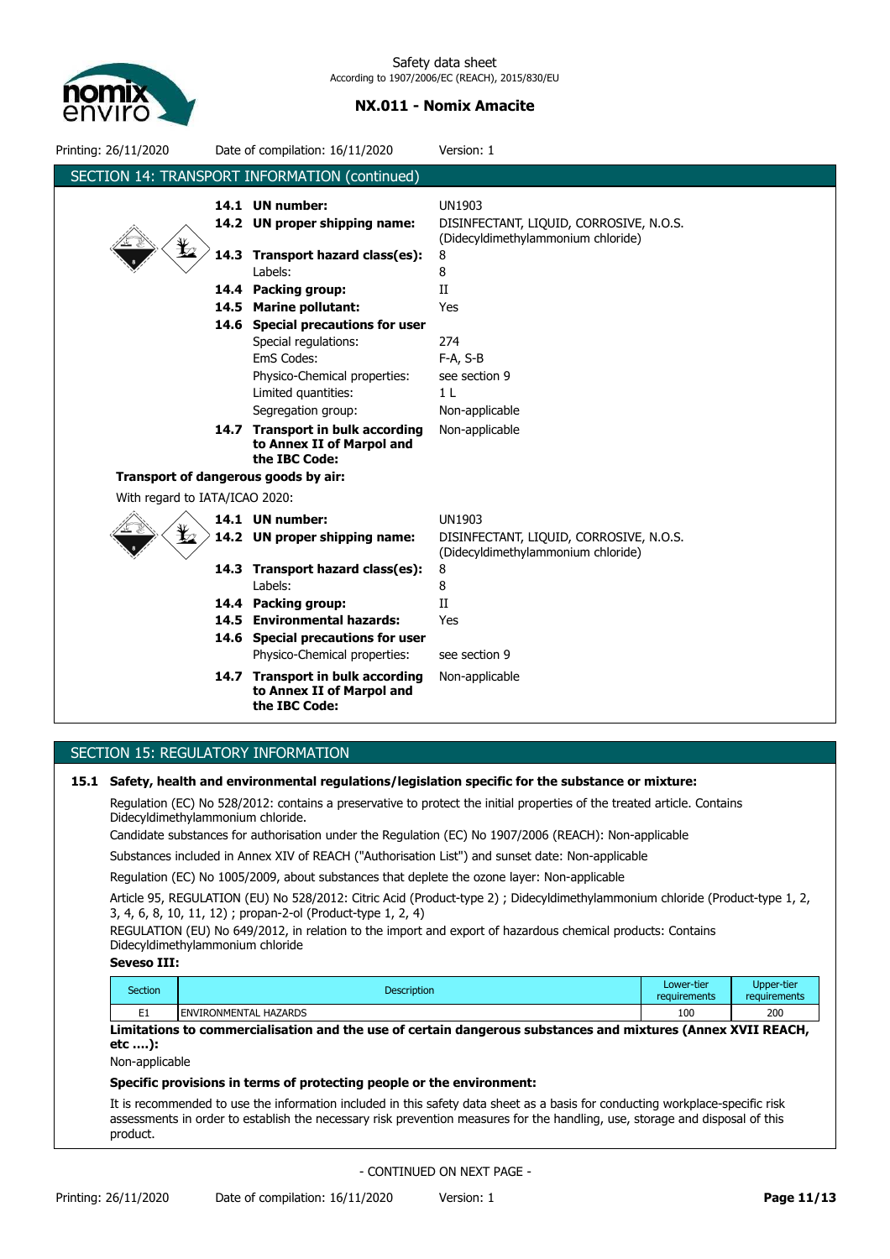

| Printing: 26/11/2020                 |      | Date of compilation: 16/11/2020                                                                                                                      | Version: 1                                                                                          |  |  |  |
|--------------------------------------|------|------------------------------------------------------------------------------------------------------------------------------------------------------|-----------------------------------------------------------------------------------------------------|--|--|--|
|                                      |      | SECTION 14: TRANSPORT INFORMATION (continued)                                                                                                        |                                                                                                     |  |  |  |
|                                      | 14.3 | 14.1 UN number:<br>14.2 UN proper shipping name:<br>Transport hazard class(es):                                                                      | <b>UN1903</b><br>DISINFECTANT, LIQUID, CORROSIVE, N.O.S.<br>(Didecyldimethylammonium chloride)<br>8 |  |  |  |
|                                      |      | Labels:<br>14.4 Packing group:<br>14.5 Marine pollutant:                                                                                             | 8<br>$_{\rm II}$<br>Yes                                                                             |  |  |  |
|                                      |      | 14.6 Special precautions for user<br>Special regulations:<br>EmS Codes:<br>Physico-Chemical properties:<br>Limited quantities:<br>Segregation group: | 274<br>$F-A, S-B$<br>see section 9<br>1 <sub>L</sub><br>Non-applicable                              |  |  |  |
|                                      |      | 14.7 Transport in bulk according<br>to Annex II of Marpol and<br>the IBC Code:                                                                       | Non-applicable                                                                                      |  |  |  |
| Transport of dangerous goods by air: |      |                                                                                                                                                      |                                                                                                     |  |  |  |
| With regard to IATA/ICAO 2020:       |      |                                                                                                                                                      |                                                                                                     |  |  |  |
|                                      |      | 14.1 UN number:<br>14.2 UN proper shipping name:                                                                                                     | <b>UN1903</b><br>DISINFECTANT, LIQUID, CORROSIVE, N.O.S.<br>(Didecyldimethylammonium chloride)      |  |  |  |
|                                      |      | 14.3 Transport hazard class(es):<br>Labels:                                                                                                          | 8<br>8                                                                                              |  |  |  |
|                                      |      | 14.4 Packing group:<br>14.5 Environmental hazards:<br>14.6 Special precautions for user<br>Physico-Chemical properties:                              | $\rm II$<br>Yes<br>see section 9                                                                    |  |  |  |
|                                      |      | 14.7 Transport in bulk according<br>to Annex II of Marpol and<br>the IBC Code:                                                                       | Non-applicable                                                                                      |  |  |  |

# SECTION 15: REGULATORY INFORMATION

**15.1 Safety, health and environmental regulations/legislation specific for the substance or mixture:**

Regulation (EC) No 528/2012: contains a preservative to protect the initial properties of the treated article. Contains Didecyldimethylammonium chloride.

Candidate substances for authorisation under the Regulation (EC) No 1907/2006 (REACH): Non-applicable

Substances included in Annex XIV of REACH ("Authorisation List") and sunset date: Non-applicable

Regulation (EC) No 1005/2009, about substances that deplete the ozone layer: Non-applicable

Article 95, REGULATION (EU) No 528/2012: Citric Acid (Product-type 2) ; Didecyldimethylammonium chloride (Product-type 1, 2, 3, 4, 6, 8, 10, 11, 12) ; propan-2-ol (Product-type 1, 2, 4)

REGULATION (EU) No 649/2012, in relation to the import and export of hazardous chemical products: Contains Didecyldimethylammonium chloride

### **Seveso III:**

| Section | <b>Description</b>                | Lower-tier<br>requirements | Upper-tier<br>requirements |
|---------|-----------------------------------|----------------------------|----------------------------|
| --      | . HAZARDS<br><b>ENVIRONMENTAL</b> | 100                        | 200                        |

**Limitations to commercialisation and the use of certain dangerous substances and mixtures (Annex XVII REACH, etc ….):**

Non-applicable

### **Specific provisions in terms of protecting people or the environment:**

It is recommended to use the information included in this safety data sheet as a basis for conducting workplace-specific risk assessments in order to establish the necessary risk prevention measures for the handling, use, storage and disposal of this product.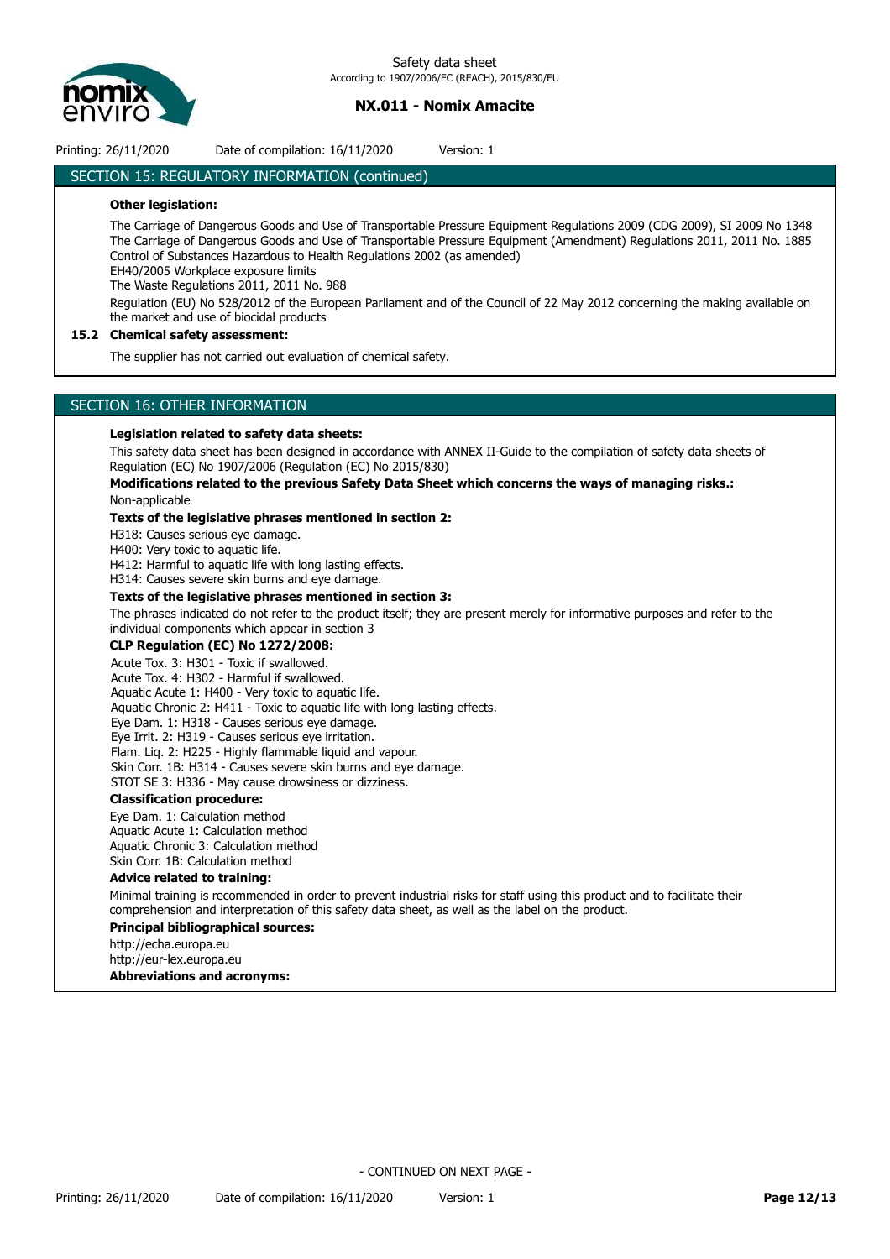

Printing: 26/11/2020 Date of compilation: 16/11/2020 Version: 1

## SECTION 15: REGULATORY INFORMATION (continued)

## **Other legislation:**

The Carriage of Dangerous Goods and Use of Transportable Pressure Equipment Regulations 2009 (CDG 2009), SI 2009 No 1348 The Carriage of Dangerous Goods and Use of Transportable Pressure Equipment (Amendment) Regulations 2011, 2011 No. 1885 Control of Substances Hazardous to Health Regulations 2002 (as amended)

EH40/2005 Workplace exposure limits

The Waste Regulations 2011, 2011 No. 988

Regulation (EU) No 528/2012 of the European Parliament and of the Council of 22 May 2012 concerning the making available on the market and use of biocidal products

## **15.2 Chemical safety assessment:**

The supplier has not carried out evaluation of chemical safety.

## SECTION 16: OTHER INFORMATION

### **Legislation related to safety data sheets:**

This safety data sheet has been designed in accordance with ANNEX II-Guide to the compilation of safety data sheets of Regulation (EC) No 1907/2006 (Regulation (EC) No 2015/830)

## **Modifications related to the previous Safety Data Sheet which concerns the ways of managing risks.:** Non-applicable

## **Texts of the legislative phrases mentioned in section 2:**

H318: Causes serious eye damage.

H400: Very toxic to aquatic life.

H412: Harmful to aquatic life with long lasting effects.

H314: Causes severe skin burns and eye damage.

## **Texts of the legislative phrases mentioned in section 3:**

The phrases indicated do not refer to the product itself; they are present merely for informative purposes and refer to the individual components which appear in section 3

## **CLP Regulation (EC) No 1272/2008:**

Acute Tox. 3: H301 - Toxic if swallowed.

Acute Tox. 4: H302 - Harmful if swallowed.

Aquatic Acute 1: H400 - Very toxic to aquatic life. Aquatic Chronic 2: H411 - Toxic to aquatic life with long lasting effects.

Eye Dam. 1: H318 - Causes serious eye damage.

Eye Irrit. 2: H319 - Causes serious eye irritation.

Flam. Lig. 2: H225 - Highly flammable liquid and vapour.

Skin Corr. 1B: H314 - Causes severe skin burns and eye damage.

STOT SE 3: H336 - May cause drowsiness or dizziness.

### **Classification procedure:**

Eye Dam. 1: Calculation method Aquatic Acute 1: Calculation method Aquatic Chronic 3: Calculation method Skin Corr. 1B: Calculation method

### **Advice related to training:**

Minimal training is recommended in order to prevent industrial risks for staff using this product and to facilitate their comprehension and interpretation of this safety data sheet, as well as the label on the product.

### **Principal bibliographical sources:**

http://echa.europa.eu

http://eur-lex.europa.eu

**Abbreviations and acronyms:**